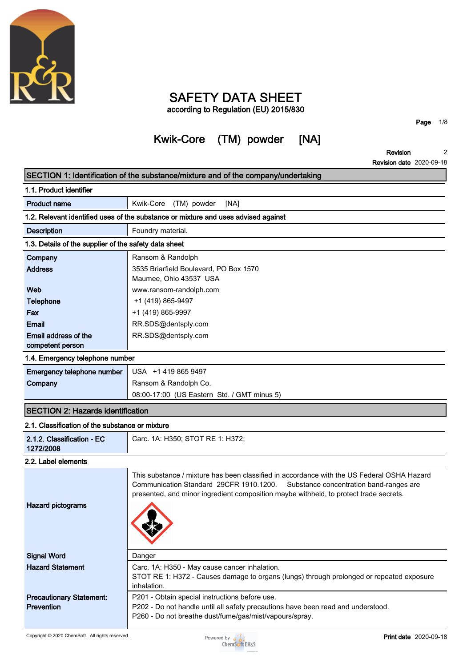

## **SAFETY DATA SHEET according to Regulation (EU) 2015/830**

# **Kwik-Core (TM) powder [NA]**

**Page 1/8**

**Revision 2**

|                                                       | <b>Revision date 2020-09-18</b>                                                                                                                                                                                                                                           |
|-------------------------------------------------------|---------------------------------------------------------------------------------------------------------------------------------------------------------------------------------------------------------------------------------------------------------------------------|
|                                                       | SECTION 1: Identification of the substance/mixture and of the company/undertaking                                                                                                                                                                                         |
| 1.1. Product identifier                               |                                                                                                                                                                                                                                                                           |
| <b>Product name</b>                                   | Kwik-Core<br>(TM) powder<br>[NA]                                                                                                                                                                                                                                          |
|                                                       | 1.2. Relevant identified uses of the substance or mixture and uses advised against                                                                                                                                                                                        |
| <b>Description</b>                                    | Foundry material.                                                                                                                                                                                                                                                         |
| 1.3. Details of the supplier of the safety data sheet |                                                                                                                                                                                                                                                                           |
| Company                                               | Ransom & Randolph                                                                                                                                                                                                                                                         |
| <b>Address</b>                                        | 3535 Briarfield Boulevard, PO Box 1570<br>Maumee, Ohio 43537 USA                                                                                                                                                                                                          |
| <b>Web</b>                                            | www.ransom-randolph.com                                                                                                                                                                                                                                                   |
| <b>Telephone</b>                                      | +1 (419) 865-9497                                                                                                                                                                                                                                                         |
| Fax                                                   | +1 (419) 865-9997                                                                                                                                                                                                                                                         |
| <b>Email</b>                                          | RR.SDS@dentsply.com                                                                                                                                                                                                                                                       |
| Email address of the<br>competent person              | RR.SDS@dentsply.com                                                                                                                                                                                                                                                       |
| 1.4. Emergency telephone number                       |                                                                                                                                                                                                                                                                           |
| Emergency telephone number                            | USA +1 419 865 9497                                                                                                                                                                                                                                                       |
| Company                                               | Ransom & Randolph Co.                                                                                                                                                                                                                                                     |
|                                                       | 08:00-17:00 (US Eastern Std. / GMT minus 5)                                                                                                                                                                                                                               |
| <b>SECTION 2: Hazards identification</b>              |                                                                                                                                                                                                                                                                           |
| 2.1. Classification of the substance or mixture       |                                                                                                                                                                                                                                                                           |
| 2.1.2. Classification - EC<br>1272/2008               | Carc. 1A: H350; STOT RE 1: H372;                                                                                                                                                                                                                                          |
| 2.2. Label elements                                   |                                                                                                                                                                                                                                                                           |
|                                                       | This substance / mixture has been classified in accordance with the US Federal OSHA Hazard<br>Communication Standard 29CFR 1910.1200.<br>Substance concentration band-ranges are<br>presented, and minor ingredient composition maybe withheld, to protect trade secrets. |
| <b>Hazard pictograms</b>                              |                                                                                                                                                                                                                                                                           |
| <b>Signal Word</b>                                    | Danger                                                                                                                                                                                                                                                                    |
| <b>Hazard Statement</b>                               | Carc. 1A: H350 - May cause cancer inhalation.<br>STOT RE 1: H372 - Causes damage to organs (lungs) through prolonged or repeated exposure<br>inhalation.                                                                                                                  |
| <b>Precautionary Statement:</b><br>Prevention         | P201 - Obtain special instructions before use.<br>P202 - Do not handle until all safety precautions have been read and understood.<br>P260 - Do not breathe dust/fume/gas/mist/vapours/spray.                                                                             |

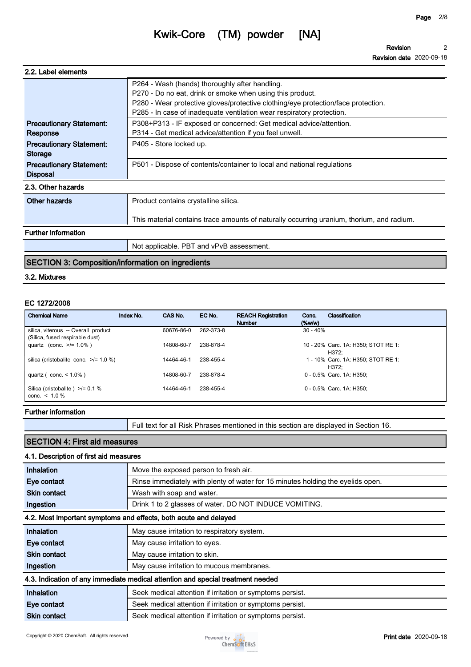**Revision Revision date 2020-09-18 2**

| 2.2. Label elements                                |                                                                                                                                                                                                                                                                           |
|----------------------------------------------------|---------------------------------------------------------------------------------------------------------------------------------------------------------------------------------------------------------------------------------------------------------------------------|
|                                                    | P264 - Wash (hands) thoroughly after handling.<br>P270 - Do no eat, drink or smoke when using this product.<br>P280 - Wear protective gloves/protective clothing/eye protection/face protection.<br>P285 - In case of inadequate ventilation wear respiratory protection. |
| <b>Precautionary Statement:</b><br>Response        | P308+P313 - IF exposed or concerned: Get medical advice/attention.<br>P314 - Get medical advice/attention if you feel unwell.                                                                                                                                             |
| <b>Precautionary Statement:</b><br>Storage         | P405 - Store locked up.                                                                                                                                                                                                                                                   |
| <b>Precautionary Statement:</b><br><b>Disposal</b> | P501 - Dispose of contents/container to local and national regulations                                                                                                                                                                                                    |
| 2.3. Other hazards                                 |                                                                                                                                                                                                                                                                           |
| Other hazards                                      | Product contains crystalline silica.                                                                                                                                                                                                                                      |
|                                                    | This material contains trace amounts of naturally occurring uranium, thorium, and radium.                                                                                                                                                                                 |
| <b>Further information</b>                         |                                                                                                                                                                                                                                                                           |
|                                                    | Not applicable. PBT and vPvB assessment.                                                                                                                                                                                                                                  |
|                                                    |                                                                                                                                                                                                                                                                           |

## **SECTION 3: Composition/information on ingredients**

## **3.2. Mixtures**

## **EC 1272/2008**

| <b>Chemical Name</b>                                                   | Index No. | CAS No.    | EC No.    | <b>REACH Registration</b><br><b>Number</b> | Conc.<br>$(\%w/w)$ | Classification                               |
|------------------------------------------------------------------------|-----------|------------|-----------|--------------------------------------------|--------------------|----------------------------------------------|
| silica, viterous -- Overall product<br>(Silica, fused respirable dust) |           | 60676-86-0 | 262-373-8 |                                            | $30 - 40%$         |                                              |
| quartz (conc. $>1.0\%$ )                                               |           | 14808-60-7 | 238-878-4 |                                            |                    | 10 - 20% Carc. 1A: H350; STOT RE 1:<br>H372: |
| silica (cristobalite conc. $\ge$ /= 1.0 %)                             |           | 14464-46-1 | 238-455-4 |                                            |                    | 1 - 10% Carc. 1A: H350; STOT RE 1:<br>H372:  |
| quartz ( $conc. < 1.0\%$ )                                             |           | 14808-60-7 | 238-878-4 |                                            |                    | 0 - 0.5% Carc. 1A: H350:                     |
| Silica (cristobalite) $\ge$ /= 0.1 %<br>conc. $< 1.0 \%$               |           | 14464-46-1 | 238-455-4 |                                            |                    | 0 - 0.5% Carc. 1A: H350:                     |

#### **Further information**

**Full text for all Risk Phrases mentioned in this section are displayed in Section 16.**

## **SECTION 4: First aid measures**

## **4.1. Description of first aid measures**

| Inhalation          | Move the exposed person to fresh air.                                           |
|---------------------|---------------------------------------------------------------------------------|
| Eye contact         | Rinse immediately with plenty of water for 15 minutes holding the eyelids open. |
| <b>Skin contact</b> | Wash with soap and water.                                                       |
| Ingestion           | Drink 1 to 2 glasses of water. DO NOT INDUCE VOMITING.                          |
|                     | 4.2. Most important symptoms and effects, both acute and delayed                |
| Inhalation          | May cause irritation to respiratory system.                                     |
| Eye contact         | May cause irritation to eyes.                                                   |
| <b>Skin contact</b> | May cause irritation to skin.                                                   |
| Ingestion           | May cause irritation to mucous membranes.                                       |
|                     | 4.3. Indication of any immediate medical attention and special treatment needed |
| Inhalation          | Seek medical attention if irritation or symptoms persist.                       |
| Eye contact         | Seek medical attention if irritation or symptoms persist.                       |
| <b>Skin contact</b> | Seek medical attention if irritation or symptoms persist.                       |

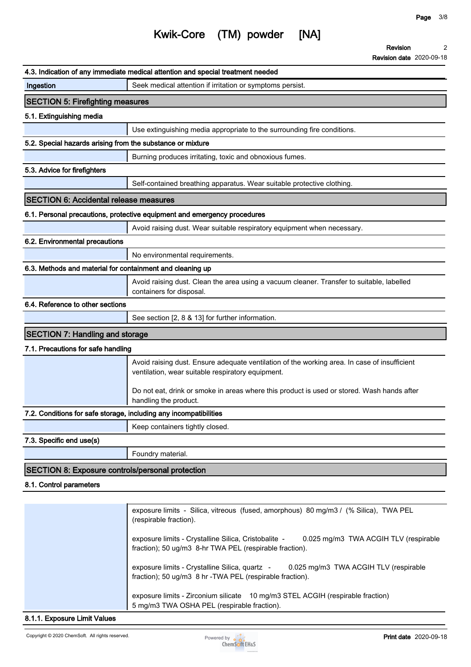**Revision date 2020-09-18**

**2**

**Revision**

## **Kwik-Core (TM) powder [NA]**

|                                                                   | 4.3. Indication of any immediate medical attention and special treatment needed                                                                          |
|-------------------------------------------------------------------|----------------------------------------------------------------------------------------------------------------------------------------------------------|
| Ingestion                                                         | Seek medical attention if irritation or symptoms persist.                                                                                                |
| <b>SECTION 5: Firefighting measures</b>                           |                                                                                                                                                          |
| 5.1. Extinguishing media                                          |                                                                                                                                                          |
|                                                                   | Use extinguishing media appropriate to the surrounding fire conditions.                                                                                  |
| 5.2. Special hazards arising from the substance or mixture        |                                                                                                                                                          |
|                                                                   | Burning produces irritating, toxic and obnoxious fumes.                                                                                                  |
| 5.3. Advice for firefighters                                      |                                                                                                                                                          |
|                                                                   | Self-contained breathing apparatus. Wear suitable protective clothing.                                                                                   |
| <b>SECTION 6: Accidental release measures</b>                     |                                                                                                                                                          |
|                                                                   | 6.1. Personal precautions, protective equipment and emergency procedures                                                                                 |
|                                                                   | Avoid raising dust. Wear suitable respiratory equipment when necessary.                                                                                  |
| 6.2. Environmental precautions                                    |                                                                                                                                                          |
|                                                                   | No environmental requirements.                                                                                                                           |
| 6.3. Methods and material for containment and cleaning up         |                                                                                                                                                          |
|                                                                   | Avoid raising dust. Clean the area using a vacuum cleaner. Transfer to suitable, labelled<br>containers for disposal.                                    |
| 6.4. Reference to other sections                                  |                                                                                                                                                          |
|                                                                   | See section [2, 8 & 13] for further information.                                                                                                         |
| <b>SECTION 7: Handling and storage</b>                            |                                                                                                                                                          |
| 7.1. Precautions for safe handling                                |                                                                                                                                                          |
|                                                                   | Avoid raising dust. Ensure adequate ventilation of the working area. In case of insufficient<br>ventilation, wear suitable respiratory equipment.        |
|                                                                   | Do not eat, drink or smoke in areas where this product is used or stored. Wash hands after<br>handling the product.                                      |
| 7.2. Conditions for safe storage, including any incompatibilities |                                                                                                                                                          |
|                                                                   | Keep containers tightly closed.                                                                                                                          |
| 7.3. Specific end use(s)                                          |                                                                                                                                                          |
|                                                                   | Foundry material.                                                                                                                                        |
| SECTION 8: Exposure controls/personal protection                  |                                                                                                                                                          |
| 8.1. Control parameters                                           |                                                                                                                                                          |
|                                                                   |                                                                                                                                                          |
|                                                                   | exposure limits - Silica, vitreous (fused, amorphous) 80 mg/m3 / (% Silica), TWA PEL<br>(respirable fraction).                                           |
|                                                                   | exposure limits - Crystalline Silica, Cristobalite -<br>0.025 mg/m3 TWA ACGIH TLV (respirable<br>fraction); 50 ug/m3 8-hr TWA PEL (respirable fraction). |
|                                                                   | exposure limits - Crystalline Silica, quartz -<br>0.025 mg/m3 TWA ACGIH TLV (respirable<br>fraction); 50 ug/m3 8 hr - TWA PEL (respirable fraction).     |
|                                                                   | exposure limits - Zirconium silicate 10 mg/m3 STEL ACGIH (respirable fraction)                                                                           |



**5 mg/m3 TWA OSHA PEL (respirable fraction).**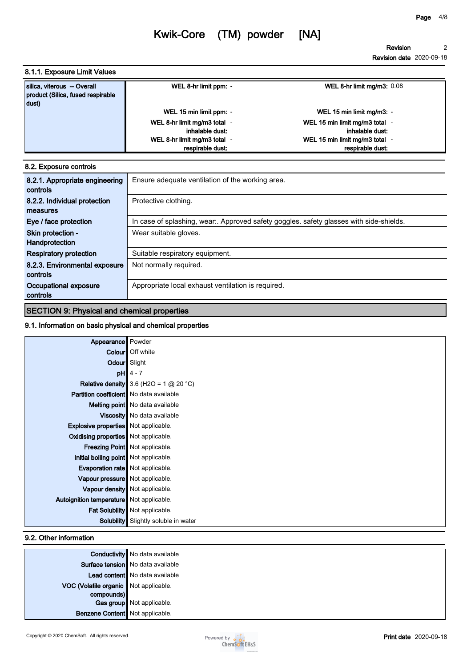**Revision date 2020-09-18**

### **8.1.1. Exposure Limit Values**

| silica, viterous - Overall<br>product (Silica, fused respirable<br>dust) | WEL 8-hr limit ppm: -        | <b>WEL 8-hr limit mg/m3: 0.08</b> |
|--------------------------------------------------------------------------|------------------------------|-----------------------------------|
|                                                                          | WEL 15 min limit ppm: -      | WEL 15 min limit mg/m3: -         |
|                                                                          | WEL 8-hr limit mg/m3 total - | WEL 15 min limit mg/m3 total -    |
|                                                                          | inhalable dust:              | inhalable dust:                   |
|                                                                          | WEL 8-hr limit mg/m3 total - | WEL 15 min limit mg/m3 total      |
|                                                                          | respirable dust:             | respirable dust:                  |

#### **8.2. Exposure controls**

| 8.2.1. Appropriate engineering<br>controls | Ensure adequate ventilation of the working area.                                        |
|--------------------------------------------|-----------------------------------------------------------------------------------------|
| 8.2.2. Individual protection<br>measures   | Protective clothing.                                                                    |
| Eye / face protection                      | In case of splashing, wear:. Approved safety goggles. safety glasses with side-shields. |
| Skin protection -<br>Handprotection        | Wear suitable gloves.                                                                   |
| <b>Respiratory protection</b>              | Suitable respiratory equipment.                                                         |
| 8.2.3. Environmental exposure<br>controls  | Not normally required.                                                                  |
| Occupational exposure<br>controls          | Appropriate local exhaust ventilation is required.                                      |

## **SECTION 9: Physical and chemical properties**

### **9.1. Information on basic physical and chemical properties**

| Appearance   Powder                            |                                                 |
|------------------------------------------------|-------------------------------------------------|
|                                                | Colour   Off white                              |
|                                                | Odour Slight                                    |
|                                                | $pH$ 4 - 7                                      |
|                                                | <b>Relative density</b> 3.6 (H2O = 1 $@$ 20 °C) |
| <b>Partition coefficient</b> No data available |                                                 |
|                                                | Melting point   No data available               |
|                                                | Viscosity   No data available                   |
| <b>Explosive properties</b> Not applicable.    |                                                 |
| Oxidising properties Not applicable.           |                                                 |
|                                                | <b>Freezing Point</b> Not applicable.           |
| Initial boiling point   Not applicable.        |                                                 |
| <b>Evaporation rate</b> Not applicable.        |                                                 |
| Vapour pressure   Not applicable.              |                                                 |
|                                                | Vapour density   Not applicable.                |
| Autoignition temperature   Not applicable.     |                                                 |
|                                                | Fat Solubility   Not applicable.                |
|                                                | <b>Solubility</b> Slightly soluble in water     |

#### **9.2. Other information**

|                                       | <b>Conductivity</b> No data available |  |  |
|---------------------------------------|---------------------------------------|--|--|
|                                       | Surface tension   No data available   |  |  |
|                                       | Lead content   No data available      |  |  |
| VOC (Volatile organic Not applicable. |                                       |  |  |
| compounds)                            |                                       |  |  |
|                                       | Gas group Not applicable.             |  |  |
| Benzene Content   Not applicable.     |                                       |  |  |
|                                       |                                       |  |  |

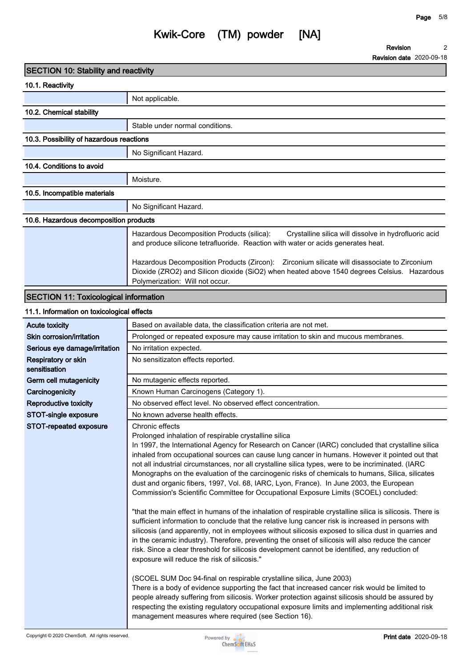**Revision date 2020-09-18**

| <b>SECTION 10: Stability and reactivity</b>  |                                                                                                                                                                                                                                                                                                                                                                                                                                                                                                                                                                                                                                                                                                                                                                                                                                                                                                                                                                                                                                                                                                                |
|----------------------------------------------|----------------------------------------------------------------------------------------------------------------------------------------------------------------------------------------------------------------------------------------------------------------------------------------------------------------------------------------------------------------------------------------------------------------------------------------------------------------------------------------------------------------------------------------------------------------------------------------------------------------------------------------------------------------------------------------------------------------------------------------------------------------------------------------------------------------------------------------------------------------------------------------------------------------------------------------------------------------------------------------------------------------------------------------------------------------------------------------------------------------|
| 10.1. Reactivity                             |                                                                                                                                                                                                                                                                                                                                                                                                                                                                                                                                                                                                                                                                                                                                                                                                                                                                                                                                                                                                                                                                                                                |
|                                              | Not applicable.                                                                                                                                                                                                                                                                                                                                                                                                                                                                                                                                                                                                                                                                                                                                                                                                                                                                                                                                                                                                                                                                                                |
| 10.2. Chemical stability                     |                                                                                                                                                                                                                                                                                                                                                                                                                                                                                                                                                                                                                                                                                                                                                                                                                                                                                                                                                                                                                                                                                                                |
|                                              | Stable under normal conditions.                                                                                                                                                                                                                                                                                                                                                                                                                                                                                                                                                                                                                                                                                                                                                                                                                                                                                                                                                                                                                                                                                |
|                                              |                                                                                                                                                                                                                                                                                                                                                                                                                                                                                                                                                                                                                                                                                                                                                                                                                                                                                                                                                                                                                                                                                                                |
| 10.3. Possibility of hazardous reactions     |                                                                                                                                                                                                                                                                                                                                                                                                                                                                                                                                                                                                                                                                                                                                                                                                                                                                                                                                                                                                                                                                                                                |
|                                              | No Significant Hazard.                                                                                                                                                                                                                                                                                                                                                                                                                                                                                                                                                                                                                                                                                                                                                                                                                                                                                                                                                                                                                                                                                         |
| 10.4. Conditions to avoid                    |                                                                                                                                                                                                                                                                                                                                                                                                                                                                                                                                                                                                                                                                                                                                                                                                                                                                                                                                                                                                                                                                                                                |
|                                              | Moisture.                                                                                                                                                                                                                                                                                                                                                                                                                                                                                                                                                                                                                                                                                                                                                                                                                                                                                                                                                                                                                                                                                                      |
| 10.5. Incompatible materials                 |                                                                                                                                                                                                                                                                                                                                                                                                                                                                                                                                                                                                                                                                                                                                                                                                                                                                                                                                                                                                                                                                                                                |
|                                              | No Significant Hazard.                                                                                                                                                                                                                                                                                                                                                                                                                                                                                                                                                                                                                                                                                                                                                                                                                                                                                                                                                                                                                                                                                         |
| 10.6. Hazardous decomposition products       |                                                                                                                                                                                                                                                                                                                                                                                                                                                                                                                                                                                                                                                                                                                                                                                                                                                                                                                                                                                                                                                                                                                |
|                                              | Hazardous Decomposition Products (silica):<br>Crystalline silica will dissolve in hydrofluoric acid<br>and produce silicone tetrafluoride. Reaction with water or acids generates heat.                                                                                                                                                                                                                                                                                                                                                                                                                                                                                                                                                                                                                                                                                                                                                                                                                                                                                                                        |
|                                              | Hazardous Decomposition Products (Zircon):  Zirconium silicate will disassociate to Zirconium<br>Dioxide (ZRO2) and Silicon dioxide (SiO2) when heated above 1540 degrees Celsius. Hazardous<br>Polymerization: Will not occur.                                                                                                                                                                                                                                                                                                                                                                                                                                                                                                                                                                                                                                                                                                                                                                                                                                                                                |
| <b>SECTION 11: Toxicological information</b> |                                                                                                                                                                                                                                                                                                                                                                                                                                                                                                                                                                                                                                                                                                                                                                                                                                                                                                                                                                                                                                                                                                                |
| 11.1. Information on toxicological effects   |                                                                                                                                                                                                                                                                                                                                                                                                                                                                                                                                                                                                                                                                                                                                                                                                                                                                                                                                                                                                                                                                                                                |
| <b>Acute toxicity</b>                        | Based on available data, the classification criteria are not met.                                                                                                                                                                                                                                                                                                                                                                                                                                                                                                                                                                                                                                                                                                                                                                                                                                                                                                                                                                                                                                              |
| Skin corrosion/irritation                    | Prolonged or repeated exposure may cause irritation to skin and mucous membranes.                                                                                                                                                                                                                                                                                                                                                                                                                                                                                                                                                                                                                                                                                                                                                                                                                                                                                                                                                                                                                              |
| Serious eye damage/irritation                | No irritation expected.                                                                                                                                                                                                                                                                                                                                                                                                                                                                                                                                                                                                                                                                                                                                                                                                                                                                                                                                                                                                                                                                                        |
| Respiratory or skin<br>sensitisation         | No sensitizaton effects reported.                                                                                                                                                                                                                                                                                                                                                                                                                                                                                                                                                                                                                                                                                                                                                                                                                                                                                                                                                                                                                                                                              |
| Germ cell mutagenicity                       | No mutagenic effects reported.                                                                                                                                                                                                                                                                                                                                                                                                                                                                                                                                                                                                                                                                                                                                                                                                                                                                                                                                                                                                                                                                                 |
| Carcinogenicity                              | Known Human Carcinogens (Category 1).                                                                                                                                                                                                                                                                                                                                                                                                                                                                                                                                                                                                                                                                                                                                                                                                                                                                                                                                                                                                                                                                          |
| <b>Reproductive toxicity</b>                 | No observed effect level. No observed effect concentration.                                                                                                                                                                                                                                                                                                                                                                                                                                                                                                                                                                                                                                                                                                                                                                                                                                                                                                                                                                                                                                                    |
| STOT-single exposure                         | No known adverse health effects.                                                                                                                                                                                                                                                                                                                                                                                                                                                                                                                                                                                                                                                                                                                                                                                                                                                                                                                                                                                                                                                                               |
| STOT-repeated exposure                       | Chronic effects<br>Prolonged inhalation of respirable crystalline silica<br>In 1997, the International Agency for Research on Cancer (IARC) concluded that crystalline silica<br>inhaled from occupational sources can cause lung cancer in humans. However it pointed out that<br>not all industrial circumstances, nor all crystalline silica types, were to be incriminated. (IARC<br>Monographs on the evaluation of the carcinogenic risks of chemicals to humans, Silica, silicates<br>dust and organic fibers, 1997, Vol. 68, IARC, Lyon, France). In June 2003, the European<br>Commission's Scientific Committee for Occupational Exposure Limits (SCOEL) concluded:<br>"that the main effect in humans of the inhalation of respirable crystalline silica is silicosis. There is<br>sufficient information to conclude that the relative lung cancer risk is increased in persons with<br>silicosis (and apparently, not in employees without silicosis exposed to silica dust in quarries and<br>in the ceramic industry). Therefore, preventing the onset of silicosis will also reduce the cancer |

**(SCOEL SUM Doc 94-final on respirable crystalline silica, June 2003) There is a body of evidence supporting the fact that increased cancer risk would be limited to people already suffering from silicosis. Worker protection against silicosis should be assured by respecting the existing regulatory occupational exposure limits and implementing additional risk management measures where required (see Section 16).**

 $\overline{a}$ 

Ì.

 $\overline{a}$ 

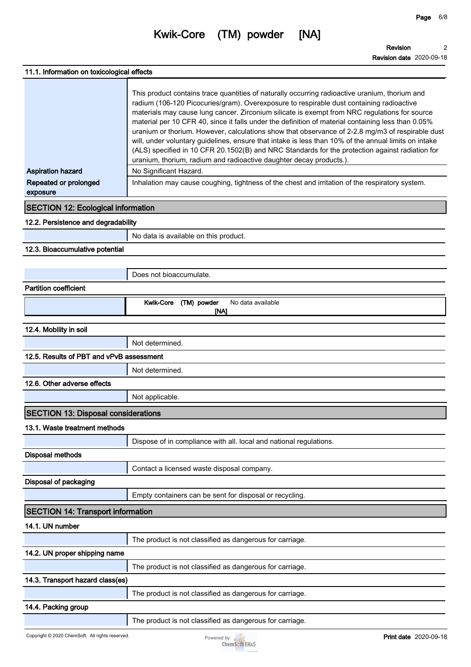**Page 6/8**

**2**

| 11.1. Information on toxicological effects                    |                                                                                                                                                                                                                                                                                                                                                                                                                                                                                                                                                                                                                                                                                                                                                                                                                                                                                                                     |
|---------------------------------------------------------------|---------------------------------------------------------------------------------------------------------------------------------------------------------------------------------------------------------------------------------------------------------------------------------------------------------------------------------------------------------------------------------------------------------------------------------------------------------------------------------------------------------------------------------------------------------------------------------------------------------------------------------------------------------------------------------------------------------------------------------------------------------------------------------------------------------------------------------------------------------------------------------------------------------------------|
| <b>Aspiration hazard</b><br>Repeated or prolonged<br>exposure | This product contains trace quantities of naturally occurring radioactive uranium, thorium and<br>radium (106-120 Picocuries/gram). Overexposure to respirable dust containing radioactive<br>materials may cause lung cancer. Zirconium silicate is exempt from NRC regulations for source<br>material per 10 CFR 40, since it falls under the definition of material containing less than 0.05%<br>uranium or thorium. However, calculations show that observance of 2-2.8 mg/m3 of respirable dust<br>will, under voluntary guidelines, ensure that intake is less than 10% of the annual limits on intake<br>(ALS) specified in 10 CFR 20.1502(B) and NRC Standards for the protection against radiation for<br>uranium, thorium, radium and radioactive daughter decay products.)<br>No Significant Hazard.<br>Inhalation may cause coughing, tightness of the chest and irritation of the respiratory system. |
| <b>SECTION 12: Ecological information</b>                     |                                                                                                                                                                                                                                                                                                                                                                                                                                                                                                                                                                                                                                                                                                                                                                                                                                                                                                                     |
| 12.2. Persistence and degradability                           |                                                                                                                                                                                                                                                                                                                                                                                                                                                                                                                                                                                                                                                                                                                                                                                                                                                                                                                     |
|                                                               | No data is available on this product.                                                                                                                                                                                                                                                                                                                                                                                                                                                                                                                                                                                                                                                                                                                                                                                                                                                                               |
| 12.3. Bioaccumulative potential                               |                                                                                                                                                                                                                                                                                                                                                                                                                                                                                                                                                                                                                                                                                                                                                                                                                                                                                                                     |
|                                                               |                                                                                                                                                                                                                                                                                                                                                                                                                                                                                                                                                                                                                                                                                                                                                                                                                                                                                                                     |
|                                                               | Does not bioaccumulate.                                                                                                                                                                                                                                                                                                                                                                                                                                                                                                                                                                                                                                                                                                                                                                                                                                                                                             |
| <b>Partition coefficient</b>                                  |                                                                                                                                                                                                                                                                                                                                                                                                                                                                                                                                                                                                                                                                                                                                                                                                                                                                                                                     |
|                                                               | <b>Kwik-Core</b><br>(TM) powder<br>No data available<br>[NA]                                                                                                                                                                                                                                                                                                                                                                                                                                                                                                                                                                                                                                                                                                                                                                                                                                                        |
| 12.4. Mobility in soil                                        |                                                                                                                                                                                                                                                                                                                                                                                                                                                                                                                                                                                                                                                                                                                                                                                                                                                                                                                     |
|                                                               | Not determined.                                                                                                                                                                                                                                                                                                                                                                                                                                                                                                                                                                                                                                                                                                                                                                                                                                                                                                     |
| 12.5. Results of PBT and vPvB assessment                      |                                                                                                                                                                                                                                                                                                                                                                                                                                                                                                                                                                                                                                                                                                                                                                                                                                                                                                                     |
|                                                               | Not determined.                                                                                                                                                                                                                                                                                                                                                                                                                                                                                                                                                                                                                                                                                                                                                                                                                                                                                                     |
| 12.6. Other adverse effects                                   |                                                                                                                                                                                                                                                                                                                                                                                                                                                                                                                                                                                                                                                                                                                                                                                                                                                                                                                     |
|                                                               | Not applicable.                                                                                                                                                                                                                                                                                                                                                                                                                                                                                                                                                                                                                                                                                                                                                                                                                                                                                                     |
| <b>SECTION 13: Disposal considerations</b>                    |                                                                                                                                                                                                                                                                                                                                                                                                                                                                                                                                                                                                                                                                                                                                                                                                                                                                                                                     |
| 13.1. Waste treatment methods                                 |                                                                                                                                                                                                                                                                                                                                                                                                                                                                                                                                                                                                                                                                                                                                                                                                                                                                                                                     |
|                                                               | Dispose of in compliance with all. local and national regulations.                                                                                                                                                                                                                                                                                                                                                                                                                                                                                                                                                                                                                                                                                                                                                                                                                                                  |
| <b>Disposal methods</b>                                       |                                                                                                                                                                                                                                                                                                                                                                                                                                                                                                                                                                                                                                                                                                                                                                                                                                                                                                                     |
|                                                               | Contact a licensed waste disposal company.                                                                                                                                                                                                                                                                                                                                                                                                                                                                                                                                                                                                                                                                                                                                                                                                                                                                          |
| Disposal of packaging                                         |                                                                                                                                                                                                                                                                                                                                                                                                                                                                                                                                                                                                                                                                                                                                                                                                                                                                                                                     |
|                                                               | Empty containers can be sent for disposal or recycling.                                                                                                                                                                                                                                                                                                                                                                                                                                                                                                                                                                                                                                                                                                                                                                                                                                                             |
| <b>SECTION 14: Transport information</b>                      |                                                                                                                                                                                                                                                                                                                                                                                                                                                                                                                                                                                                                                                                                                                                                                                                                                                                                                                     |
| 14.1. UN number                                               |                                                                                                                                                                                                                                                                                                                                                                                                                                                                                                                                                                                                                                                                                                                                                                                                                                                                                                                     |
|                                                               | The product is not classified as dangerous for carriage.                                                                                                                                                                                                                                                                                                                                                                                                                                                                                                                                                                                                                                                                                                                                                                                                                                                            |
| 14.2. UN proper shipping name                                 |                                                                                                                                                                                                                                                                                                                                                                                                                                                                                                                                                                                                                                                                                                                                                                                                                                                                                                                     |
|                                                               | The product is not classified as dangerous for carriage.                                                                                                                                                                                                                                                                                                                                                                                                                                                                                                                                                                                                                                                                                                                                                                                                                                                            |
| 14.3. Transport hazard class(es)                              |                                                                                                                                                                                                                                                                                                                                                                                                                                                                                                                                                                                                                                                                                                                                                                                                                                                                                                                     |
|                                                               | The product is not classified as dangerous for carriage.                                                                                                                                                                                                                                                                                                                                                                                                                                                                                                                                                                                                                                                                                                                                                                                                                                                            |
| 14.4. Packing group                                           |                                                                                                                                                                                                                                                                                                                                                                                                                                                                                                                                                                                                                                                                                                                                                                                                                                                                                                                     |
|                                                               | The product is not classified as dangerous for carriage.                                                                                                                                                                                                                                                                                                                                                                                                                                                                                                                                                                                                                                                                                                                                                                                                                                                            |
|                                                               |                                                                                                                                                                                                                                                                                                                                                                                                                                                                                                                                                                                                                                                                                                                                                                                                                                                                                                                     |

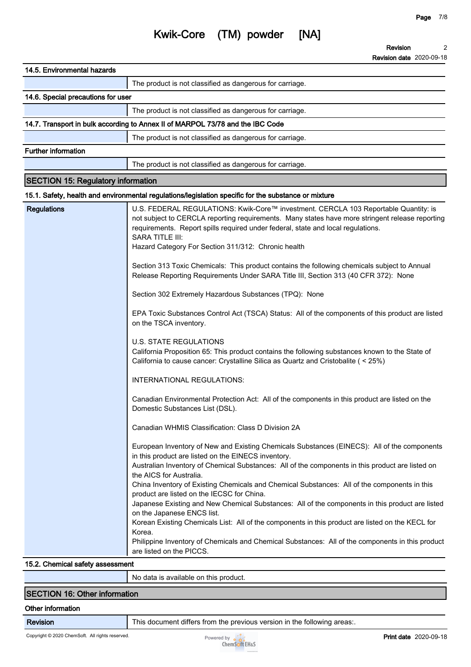| 14.5. Environmental hazards               |                                                                                                                                                                                                                                                                                                                                                                                                                                                                                                                                                                                                                                                                                                                                                                                                                                                                                                                                                                                                                                                                                                                                                                                                                                                                                                                                                                                                                                                                                                                                                                                                                                                                                                                                                                                                                                                                                                                                                                                                                |
|-------------------------------------------|----------------------------------------------------------------------------------------------------------------------------------------------------------------------------------------------------------------------------------------------------------------------------------------------------------------------------------------------------------------------------------------------------------------------------------------------------------------------------------------------------------------------------------------------------------------------------------------------------------------------------------------------------------------------------------------------------------------------------------------------------------------------------------------------------------------------------------------------------------------------------------------------------------------------------------------------------------------------------------------------------------------------------------------------------------------------------------------------------------------------------------------------------------------------------------------------------------------------------------------------------------------------------------------------------------------------------------------------------------------------------------------------------------------------------------------------------------------------------------------------------------------------------------------------------------------------------------------------------------------------------------------------------------------------------------------------------------------------------------------------------------------------------------------------------------------------------------------------------------------------------------------------------------------------------------------------------------------------------------------------------------------|
|                                           | The product is not classified as dangerous for carriage.                                                                                                                                                                                                                                                                                                                                                                                                                                                                                                                                                                                                                                                                                                                                                                                                                                                                                                                                                                                                                                                                                                                                                                                                                                                                                                                                                                                                                                                                                                                                                                                                                                                                                                                                                                                                                                                                                                                                                       |
| 14.6. Special precautions for user        |                                                                                                                                                                                                                                                                                                                                                                                                                                                                                                                                                                                                                                                                                                                                                                                                                                                                                                                                                                                                                                                                                                                                                                                                                                                                                                                                                                                                                                                                                                                                                                                                                                                                                                                                                                                                                                                                                                                                                                                                                |
|                                           | The product is not classified as dangerous for carriage.                                                                                                                                                                                                                                                                                                                                                                                                                                                                                                                                                                                                                                                                                                                                                                                                                                                                                                                                                                                                                                                                                                                                                                                                                                                                                                                                                                                                                                                                                                                                                                                                                                                                                                                                                                                                                                                                                                                                                       |
|                                           | 14.7. Transport in bulk according to Annex II of MARPOL 73/78 and the IBC Code                                                                                                                                                                                                                                                                                                                                                                                                                                                                                                                                                                                                                                                                                                                                                                                                                                                                                                                                                                                                                                                                                                                                                                                                                                                                                                                                                                                                                                                                                                                                                                                                                                                                                                                                                                                                                                                                                                                                 |
|                                           | The product is not classified as dangerous for carriage.                                                                                                                                                                                                                                                                                                                                                                                                                                                                                                                                                                                                                                                                                                                                                                                                                                                                                                                                                                                                                                                                                                                                                                                                                                                                                                                                                                                                                                                                                                                                                                                                                                                                                                                                                                                                                                                                                                                                                       |
| <b>Further information</b>                |                                                                                                                                                                                                                                                                                                                                                                                                                                                                                                                                                                                                                                                                                                                                                                                                                                                                                                                                                                                                                                                                                                                                                                                                                                                                                                                                                                                                                                                                                                                                                                                                                                                                                                                                                                                                                                                                                                                                                                                                                |
|                                           | The product is not classified as dangerous for carriage.                                                                                                                                                                                                                                                                                                                                                                                                                                                                                                                                                                                                                                                                                                                                                                                                                                                                                                                                                                                                                                                                                                                                                                                                                                                                                                                                                                                                                                                                                                                                                                                                                                                                                                                                                                                                                                                                                                                                                       |
| <b>SECTION 15: Regulatory information</b> |                                                                                                                                                                                                                                                                                                                                                                                                                                                                                                                                                                                                                                                                                                                                                                                                                                                                                                                                                                                                                                                                                                                                                                                                                                                                                                                                                                                                                                                                                                                                                                                                                                                                                                                                                                                                                                                                                                                                                                                                                |
|                                           | 15.1. Safety, health and environmental regulations/legislation specific for the substance or mixture                                                                                                                                                                                                                                                                                                                                                                                                                                                                                                                                                                                                                                                                                                                                                                                                                                                                                                                                                                                                                                                                                                                                                                                                                                                                                                                                                                                                                                                                                                                                                                                                                                                                                                                                                                                                                                                                                                           |
| <b>Regulations</b>                        | U.S. FEDERAL REGULATIONS: Kwik-Core™ investment. CERCLA 103 Reportable Quantity: is<br>not subject to CERCLA reporting requirements. Many states have more stringent release reporting<br>requirements. Report spills required under federal, state and local regulations.<br><b>SARA TITLE III:</b><br>Hazard Category For Section 311/312: Chronic health<br>Section 313 Toxic Chemicals: This product contains the following chemicals subject to Annual<br>Release Reporting Requirements Under SARA Title III, Section 313 (40 CFR 372): None<br>Section 302 Extremely Hazardous Substances (TPQ): None<br>EPA Toxic Substances Control Act (TSCA) Status: All of the components of this product are listed<br>on the TSCA inventory.<br><b>U.S. STATE REGULATIONS</b><br>California Proposition 65: This product contains the following substances known to the State of<br>California to cause cancer: Crystalline Silica as Quartz and Cristobalite (< 25%)<br>INTERNATIONAL REGULATIONS:<br>Canadian Environmental Protection Act: All of the components in this product are listed on the<br>Domestic Substances List (DSL).<br>Canadian WHMIS Classification: Class D Division 2A<br>European Inventory of New and Existing Chemicals Substances (EINECS): All of the components<br>in this product are listed on the EINECS inventory.<br>Australian Inventory of Chemical Substances: All of the components in this product are listed on<br>the AICS for Australia.<br>China Inventory of Existing Chemicals and Chemical Substances: All of the components in this<br>product are listed on the IECSC for China.<br>Japanese Existing and New Chemical Substances: All of the components in this product are listed<br>on the Japanese ENCS list.<br>Korean Existing Chemicals List: All of the components in this product are listed on the KECL for<br>Korea.<br>Philippine Inventory of Chemicals and Chemical Substances: All of the components in this product<br>are listed on the PICCS. |

#### **15.2. Chemical safety assessment**

| N0.<br>product.<br>on this<br>data is<br>available |
|----------------------------------------------------|
|                                                    |
|                                                    |

## **SECTION 16: Other information**

### **Other information**

**Revision This document differs from the previous version in the following areas:.**